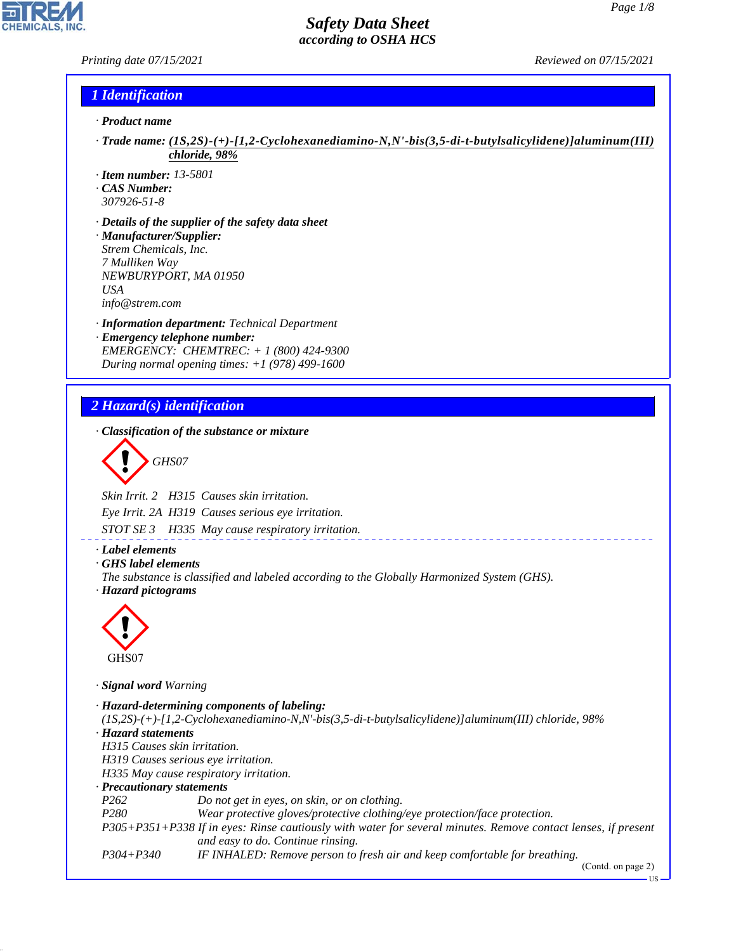### *Printing date 07/15/2021 Reviewed on 07/15/2021*

### *1 Identification*

- *· Product name*
- *· Trade name: (1S,2S)-(+)-[1,2-Cyclohexanediamino-N,N'-bis(3,5-di-t-butylsalicylidene)]aluminum(III) chloride, 98%*
- *· Item number: 13-5801*
- *· CAS Number:*
- *307926-51-8*
- *· Details of the supplier of the safety data sheet · Manufacturer/Supplier: Strem Chemicals, Inc. 7 Mulliken Way NEWBURYPORT, MA 01950 USA info@strem.com*
- *· Information department: Technical Department · Emergency telephone number: EMERGENCY: CHEMTREC: + 1 (800) 424-9300 During normal opening times: +1 (978) 499-1600*

## *2 Hazard(s) identification*

*· Classification of the substance or mixture*

$$
\left\langle \begin{array}{c}\n\end{array}\right\rangle
$$
 GHSO7

*Skin Irrit. 2 H315 Causes skin irritation.*

*Eye Irrit. 2A H319 Causes serious eye irritation.*

*STOT SE 3 H335 May cause respiratory irritation.*

#### *· Label elements*

*· GHS label elements*

*The substance is classified and labeled according to the Globally Harmonized System (GHS). · Hazard pictograms*



44.1.1

*· Signal word Warning*

```
· Hazard-determining components of labeling:
(1S,2S)-(+)-[1,2-Cyclohexanediamino-N,N'-bis(3,5-di-t-butylsalicylidene)]aluminum(III) chloride, 98%
· Hazard statements
H315 Causes skin irritation.
H319 Causes serious eye irritation.
H335 May cause respiratory irritation.
· Precautionary statements
P262 Do not get in eyes, on skin, or on clothing.
P280 Wear protective gloves/protective clothing/eye protection/face protection.
P305+P351+P338 If in eyes: Rinse cautiously with water for several minutes. Remove contact lenses, if present
                   and easy to do. Continue rinsing.
P304+P340 IF INHALED: Remove person to fresh air and keep comfortable for breathing.
```
(Contd. on page 2)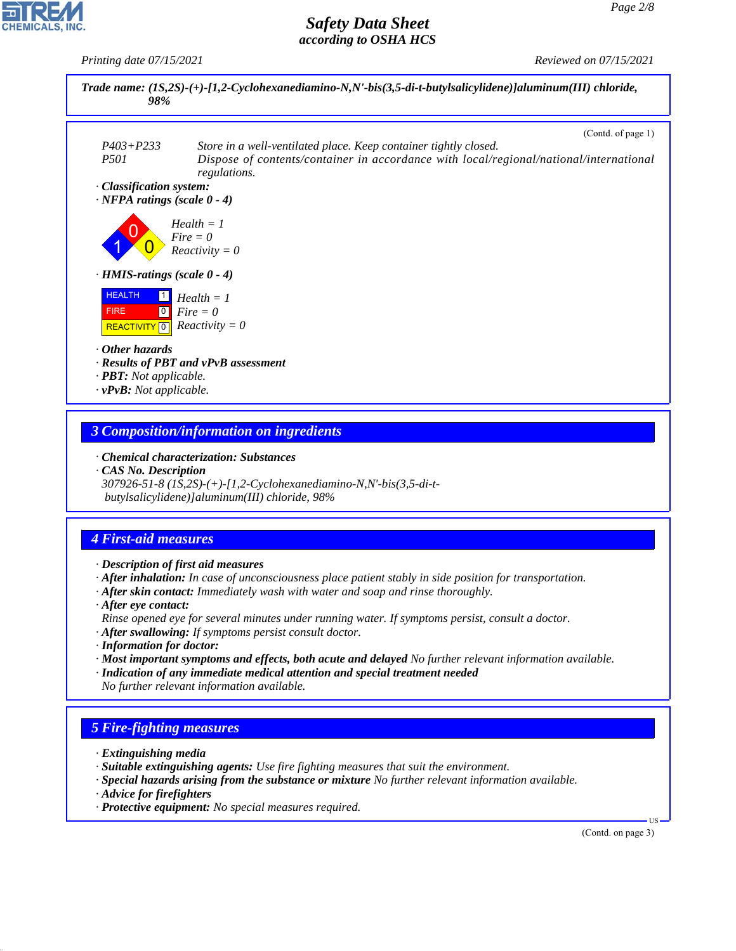*Printing date 07/15/2021 Reviewed on 07/15/2021*



### *3 Composition/information on ingredients*

*· Chemical characterization: Substances*

*· CAS No. Description 307926-51-8 (1S,2S)-(+)-[1,2-Cyclohexanediamino-N,N'-bis(3,5-di-t butylsalicylidene)]aluminum(III) chloride, 98%*

### *4 First-aid measures*

*· Description of first aid measures*

- *· After inhalation: In case of unconsciousness place patient stably in side position for transportation.*
- *· After skin contact: Immediately wash with water and soap and rinse thoroughly.*
- *· After eye contact:*

*Rinse opened eye for several minutes under running water. If symptoms persist, consult a doctor.*

- *· After swallowing: If symptoms persist consult doctor.*
- *· Information for doctor:*
- *· Most important symptoms and effects, both acute and delayed No further relevant information available.*
- *· Indication of any immediate medical attention and special treatment needed No further relevant information available.*

# *5 Fire-fighting measures*

- *· Extinguishing media*
- *· Suitable extinguishing agents: Use fire fighting measures that suit the environment.*
- *· Special hazards arising from the substance or mixture No further relevant information available.*
- *· Advice for firefighters*

44.1.1

*· Protective equipment: No special measures required.*

(Contd. on page 3)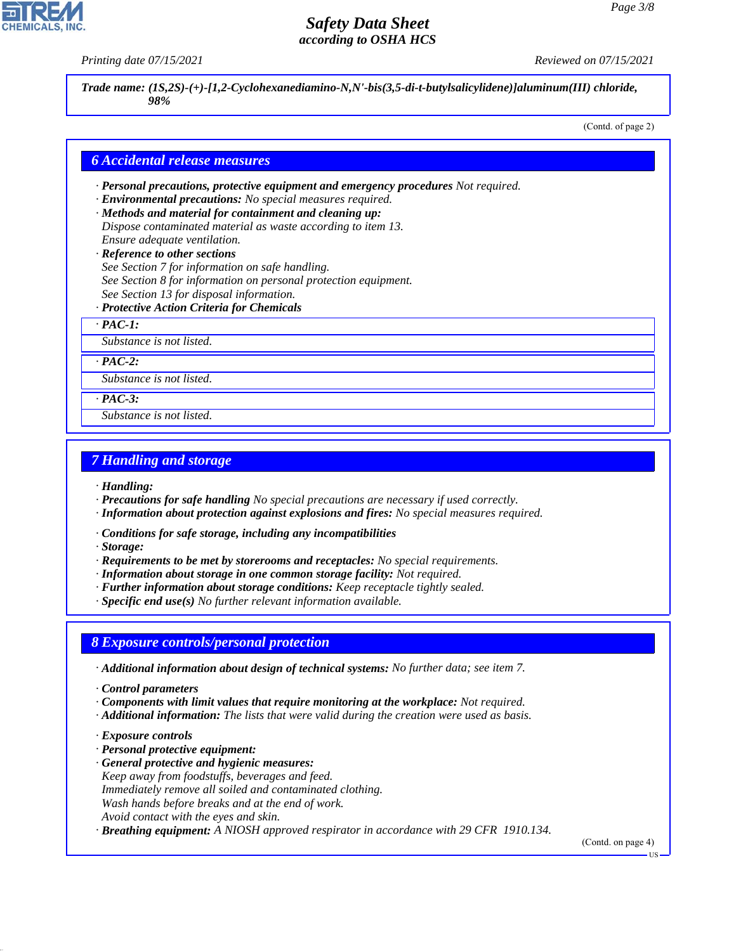*Printing date 07/15/2021 Reviewed on 07/15/2021*

*Trade name: (1S,2S)-(+)-[1,2-Cyclohexanediamino-N,N'-bis(3,5-di-t-butylsalicylidene)]aluminum(III) chloride, 98%*

(Contd. of page 2)

### *6 Accidental release measures*

- *· Personal precautions, protective equipment and emergency procedures Not required.*
- *· Environmental precautions: No special measures required.*
- *· Methods and material for containment and cleaning up: Dispose contaminated material as waste according to item 13. Ensure adequate ventilation.*
- *· Reference to other sections*
- *See Section 7 for information on safe handling.*
- *See Section 8 for information on personal protection equipment.*
- *See Section 13 for disposal information.*
- *· Protective Action Criteria for Chemicals*
- *· PAC-1:*

*Substance is not listed.*

*· PAC-2:*

*Substance is not listed.*

*· PAC-3:*

*Substance is not listed.*

## *7 Handling and storage*

- *· Handling:*
- *· Precautions for safe handling No special precautions are necessary if used correctly.*
- *· Information about protection against explosions and fires: No special measures required.*
- *· Conditions for safe storage, including any incompatibilities*
- *· Storage:*
- *· Requirements to be met by storerooms and receptacles: No special requirements.*
- *· Information about storage in one common storage facility: Not required.*
- *· Further information about storage conditions: Keep receptacle tightly sealed.*
- *· Specific end use(s) No further relevant information available.*

### *8 Exposure controls/personal protection*

- *· Additional information about design of technical systems: No further data; see item 7.*
- *· Control parameters*
- *· Components with limit values that require monitoring at the workplace: Not required.*
- *· Additional information: The lists that were valid during the creation were used as basis.*
- *· Exposure controls*

44.1.1

- *· Personal protective equipment:*
- *· General protective and hygienic measures: Keep away from foodstuffs, beverages and feed. Immediately remove all soiled and contaminated clothing. Wash hands before breaks and at the end of work. Avoid contact with the eyes and skin.*
- *· Breathing equipment: A NIOSH approved respirator in accordance with 29 CFR 1910.134.*

(Contd. on page 4)

US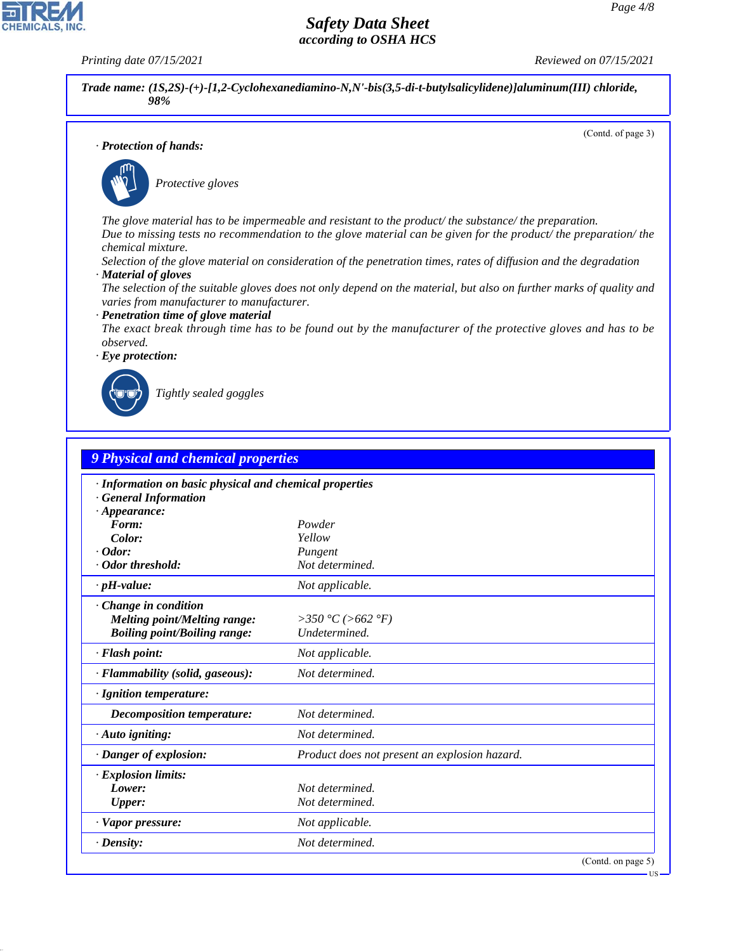**CHEMICALS, INC** 

*Printing date 07/15/2021 Reviewed on 07/15/2021*

*Trade name: (1S,2S)-(+)-[1,2-Cyclohexanediamino-N,N'-bis(3,5-di-t-butylsalicylidene)]aluminum(III) chloride, 98%*

(Contd. of page 3)

US

*· Protection of hands:*



\_S*Protective gloves*

*The glove material has to be impermeable and resistant to the product/ the substance/ the preparation. Due to missing tests no recommendation to the glove material can be given for the product/ the preparation/ the chemical mixture.*

*Selection of the glove material on consideration of the penetration times, rates of diffusion and the degradation · Material of gloves*

*The selection of the suitable gloves does not only depend on the material, but also on further marks of quality and varies from manufacturer to manufacturer.*

### *· Penetration time of glove material*

*The exact break through time has to be found out by the manufacturer of the protective gloves and has to be observed.*



44.1.1

\_R*Tightly sealed goggles*

| 9 Physical and chemical properties                      |                                               |  |
|---------------------------------------------------------|-----------------------------------------------|--|
| · Information on basic physical and chemical properties |                                               |  |
| <b>General Information</b>                              |                                               |  |
| $\cdot$ Appearance:                                     |                                               |  |
| Form:                                                   | Powder                                        |  |
| Color:                                                  | Yellow                                        |  |
| $\cdot$ Odor:                                           | Pungent                                       |  |
| · Odor threshold:                                       | Not determined.                               |  |
| $\cdot$ pH-value:                                       | Not applicable.                               |  |
| · Change in condition                                   |                                               |  |
| <b>Melting point/Melting range:</b>                     | >350 °C (>662 °F)                             |  |
| <b>Boiling point/Boiling range:</b>                     | Undetermined.                                 |  |
| · Flash point:                                          | Not applicable.                               |  |
| · Flammability (solid, gaseous):                        | Not determined.                               |  |
| · Ignition temperature:                                 |                                               |  |
| Decomposition temperature:                              | Not determined.                               |  |
| · Auto igniting:                                        | Not determined.                               |  |
| · Danger of explosion:                                  | Product does not present an explosion hazard. |  |
| · Explosion limits:                                     |                                               |  |
| Lower:                                                  | Not determined.                               |  |
| <b>Upper:</b>                                           | Not determined.                               |  |
| $\cdot$ Vapor pressure:                                 | Not applicable.                               |  |
| $\cdot$ Density:                                        | Not determined.                               |  |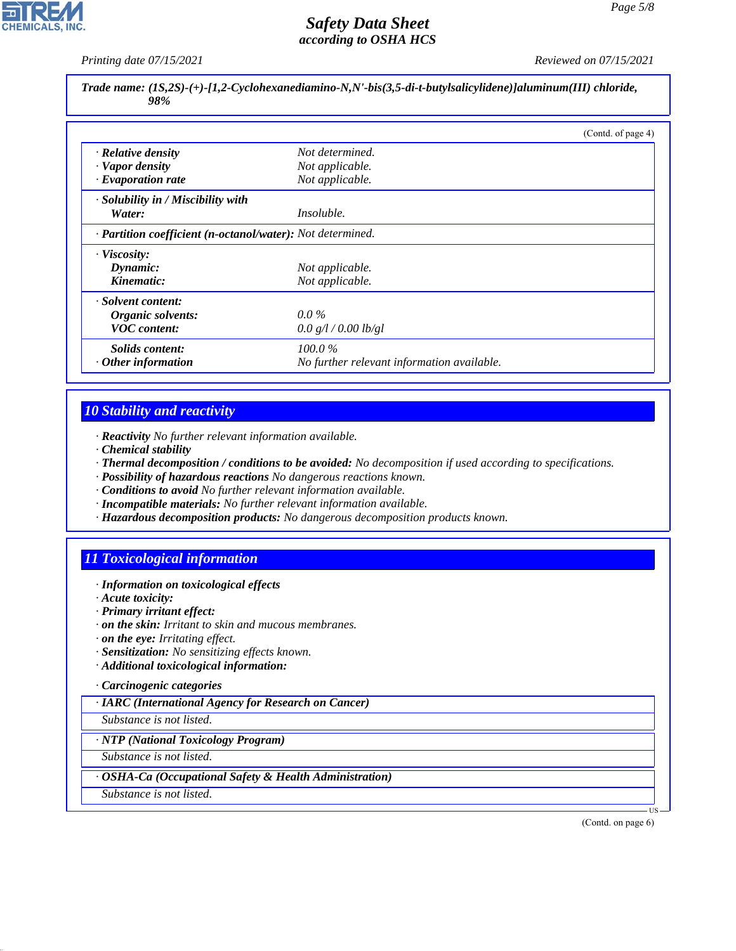*Printing date 07/15/2021 Reviewed on 07/15/2021*

*Trade name: (1S,2S)-(+)-[1,2-Cyclohexanediamino-N,N'-bis(3,5-di-t-butylsalicylidene)]aluminum(III) chloride, 98%*

|                                                            |                                            | (Contd. of page 4) |
|------------------------------------------------------------|--------------------------------------------|--------------------|
| · Relative density                                         | Not determined.                            |                    |
| · Vapor density                                            | Not applicable.                            |                    |
| $\cdot$ Evaporation rate                                   | Not applicable.                            |                    |
| $\cdot$ Solubility in / Miscibility with                   |                                            |                    |
| Water:                                                     | <i>Insoluble.</i>                          |                    |
| · Partition coefficient (n-octanol/water): Not determined. |                                            |                    |
| · Viscosity:                                               |                                            |                    |
| Dynamic:                                                   | Not applicable.                            |                    |
| Kinematic:                                                 | Not applicable.                            |                    |
| · Solvent content:                                         |                                            |                    |
| Organic solvents:                                          | $0.0\%$                                    |                    |
| <b>VOC</b> content:                                        | 0.0 g/l / 0.00 lb/gl                       |                    |
| <i>Solids content:</i>                                     | $100.0\%$                                  |                    |
| $\cdot$ Other information                                  | No further relevant information available. |                    |

# *10 Stability and reactivity*

- *· Reactivity No further relevant information available.*
- *· Chemical stability*
- *· Thermal decomposition / conditions to be avoided: No decomposition if used according to specifications.*
- *· Possibility of hazardous reactions No dangerous reactions known.*
- *· Conditions to avoid No further relevant information available.*
- *· Incompatible materials: No further relevant information available.*
- *· Hazardous decomposition products: No dangerous decomposition products known.*

# *11 Toxicological information*

- *· Information on toxicological effects*
- *· Acute toxicity:*
- *· Primary irritant effect:*
- *· on the skin: Irritant to skin and mucous membranes.*
- *· on the eye: Irritating effect.*
- *· Sensitization: No sensitizing effects known.*
- *· Additional toxicological information:*
- *· Carcinogenic categories*

*· IARC (International Agency for Research on Cancer)*

*Substance is not listed.*

*· NTP (National Toxicology Program)*

*Substance is not listed.*

*· OSHA-Ca (Occupational Safety & Health Administration)*

*Substance is not listed.*

44.1.1

(Contd. on page 6)

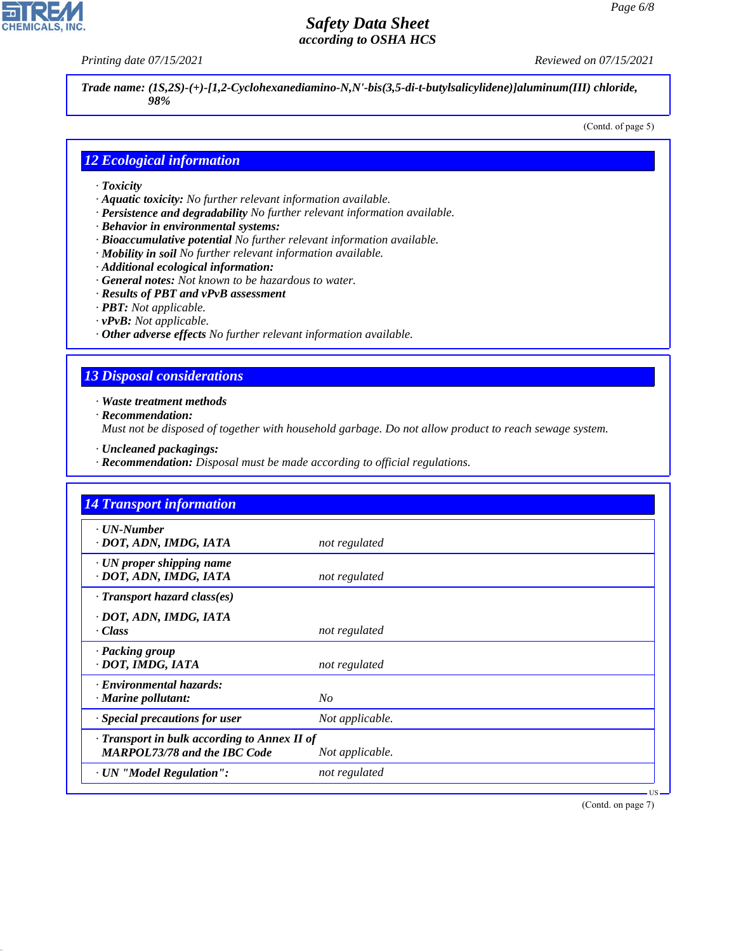**CHEMICALS, INC** 

*Printing date 07/15/2021 Reviewed on 07/15/2021*

*Trade name: (1S,2S)-(+)-[1,2-Cyclohexanediamino-N,N'-bis(3,5-di-t-butylsalicylidene)]aluminum(III) chloride, 98%*

(Contd. of page 5)

### *12 Ecological information*

- *· Toxicity*
- *· Aquatic toxicity: No further relevant information available.*
- *· Persistence and degradability No further relevant information available.*
- *· Behavior in environmental systems:*
- *· Bioaccumulative potential No further relevant information available.*
- *· Mobility in soil No further relevant information available.*
- *· Additional ecological information:*
- *· General notes: Not known to be hazardous to water.*
- *· Results of PBT and vPvB assessment*
- *· PBT: Not applicable.*
- *· vPvB: Not applicable.*
- *· Other adverse effects No further relevant information available.*

## *13 Disposal considerations*

*· Waste treatment methods*

*· Recommendation:*

44.1.1

*Must not be disposed of together with household garbage. Do not allow product to reach sewage system.*

- *· Uncleaned packagings:*
- *· Recommendation: Disposal must be made according to official regulations.*

| <b>14 Transport information</b>                                                     |                 |
|-------------------------------------------------------------------------------------|-----------------|
| $\cdot$ UN-Number<br>· DOT, ADN, IMDG, IATA                                         | not regulated   |
| $\cdot$ UN proper shipping name<br>· DOT, ADN, IMDG, IATA                           | not regulated   |
| $\cdot$ Transport hazard class(es)                                                  |                 |
| · DOT, ADN, IMDG, IATA<br>· Class                                                   | not regulated   |
| · Packing group<br>· DOT, IMDG, IATA                                                | not regulated   |
| · Environmental hazards:<br>$\cdot$ Marine pollutant:                               | N <sub>O</sub>  |
| · Special precautions for user                                                      | Not applicable. |
| · Transport in bulk according to Annex II of<br><b>MARPOL73/78 and the IBC Code</b> | Not applicable. |
| · UN "Model Regulation":                                                            | not regulated   |

(Contd. on page 7)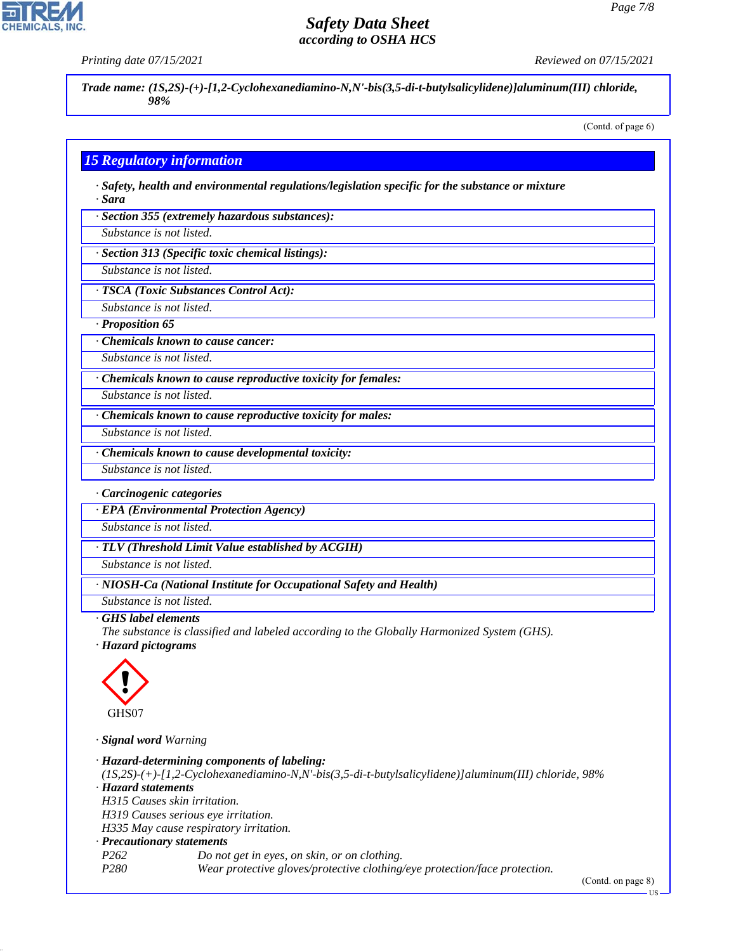**CHEMICALS** 

*Printing date 07/15/2021 Reviewed on 07/15/2021*

*Trade name: (1S,2S)-(+)-[1,2-Cyclohexanediamino-N,N'-bis(3,5-di-t-butylsalicylidene)]aluminum(III) chloride, 98%*

(Contd. of page 6)

### *15 Regulatory information*

*· Safety, health and environmental regulations/legislation specific for the substance or mixture · Sara*

*· Section 355 (extremely hazardous substances):*

*Substance is not listed.*

*· Section 313 (Specific toxic chemical listings):*

*Substance is not listed.*

*· TSCA (Toxic Substances Control Act):*

*Substance is not listed.*

*· Proposition 65*

*· Chemicals known to cause cancer:*

*Substance is not listed.*

*· Chemicals known to cause reproductive toxicity for females:*

*Substance is not listed.*

*Substance is not listed.*

*· Chemicals known to cause reproductive toxicity for males:*

*· Chemicals known to cause developmental toxicity:*

*Substance is not listed.*

*· Carcinogenic categories*

*· EPA (Environmental Protection Agency)*

*Substance is not listed.*

*· TLV (Threshold Limit Value established by ACGIH)*

*Substance is not listed.*

*· NIOSH-Ca (National Institute for Occupational Safety and Health)*

*Substance is not listed.*

#### *· GHS label elements*

*The substance is classified and labeled according to the Globally Harmonized System (GHS).*

*· Hazard pictograms*



44.1.1

*· Signal word Warning*

*· Hazard-determining components of labeling: (1S,2S)-(+)-[1,2-Cyclohexanediamino-N,N'-bis(3,5-di-t-butylsalicylidene)]aluminum(III) chloride, 98% · Hazard statements H315 Causes skin irritation. H319 Causes serious eye irritation. H335 May cause respiratory irritation. · Precautionary statements P262 Do not get in eyes, on skin, or on clothing. P280 Wear protective gloves/protective clothing/eye protection/face protection.*

(Contd. on page 8)

US